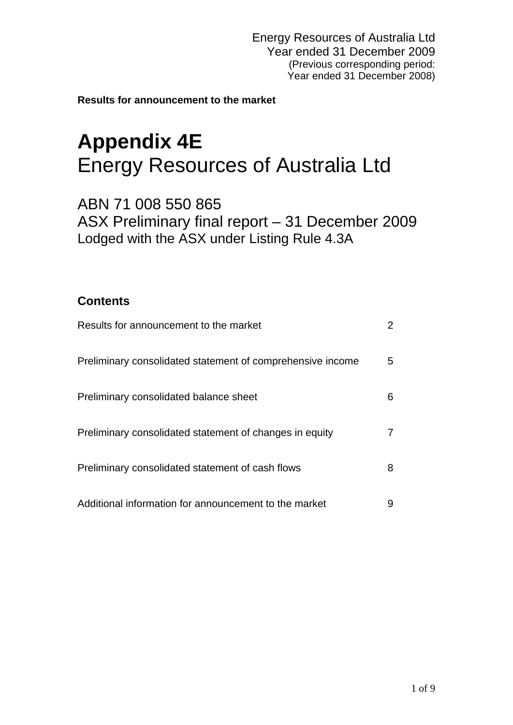**Results for announcement to the market**

# **Appendix 4E**  Energy Resources of Australia Ltd

ABN 71 008 550 865 ASX Preliminary final report – 31 December 2009 Lodged with the ASX under Listing Rule 4.3A

# **Contents**

| Results for announcement to the market                     | $\mathbf{2}^{\mathsf{I}}$ |
|------------------------------------------------------------|---------------------------|
| Preliminary consolidated statement of comprehensive income | 5                         |
| Preliminary consolidated balance sheet                     | 6                         |
| Preliminary consolidated statement of changes in equity    | 7                         |
| Preliminary consolidated statement of cash flows           | 8                         |
| Additional information for announcement to the market      | 9                         |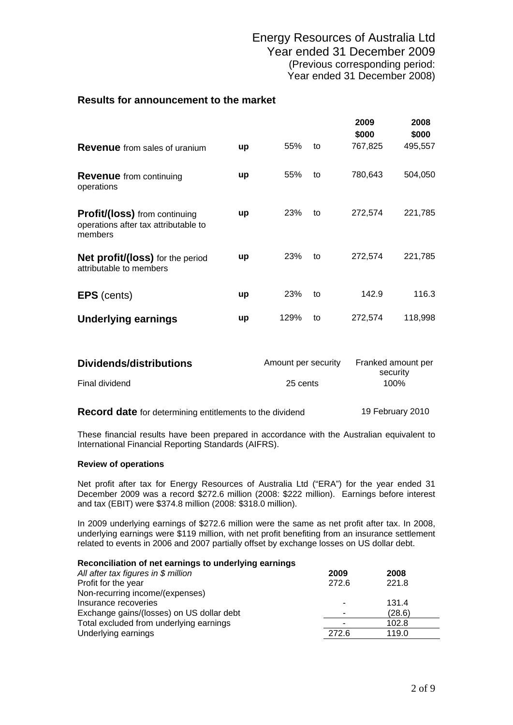### **Results for announcement to the market**

|                                                                                         |    |                                                       |    | 2009<br>\$000 | 2008<br>\$000 |
|-----------------------------------------------------------------------------------------|----|-------------------------------------------------------|----|---------------|---------------|
| <b>Revenue</b> from sales of uranium                                                    | up | 55%                                                   | to | 767,825       | 495,557       |
| <b>Revenue</b> from continuing<br>operations                                            | up | 55%                                                   | to | 780,643       | 504,050       |
| <b>Profit/(loss)</b> from continuing<br>operations after tax attributable to<br>members | up | 23%                                                   | to | 272,574       | 221,785       |
| <b>Net profit/(loss)</b> for the period<br>attributable to members                      | up | 23%                                                   | to | 272,574       | 221,785       |
| <b>EPS</b> (cents)                                                                      | up | 23%                                                   | to | 142.9         | 116.3         |
| <b>Underlying earnings</b>                                                              | up | 129%                                                  | to | 272,574       | 118,998       |
| Dividends/distributions                                                                 |    | Amount per security<br>Franked amount per<br>security |    |               |               |

| <b>Record date</b> for determining entitlements to the dividend | 19 February 2010 |
|-----------------------------------------------------------------|------------------|
|                                                                 |                  |

Final dividend **100%** 

These financial results have been prepared in accordance with the Australian equivalent to International Financial Reporting Standards (AIFRS).

### **Review of operations**

Net profit after tax for Energy Resources of Australia Ltd ("ERA") for the year ended 31 December 2009 was a record \$272.6 million (2008: \$222 million). Earnings before interest and tax (EBIT) were \$374.8 million (2008: \$318.0 million).

In 2009 underlying earnings of \$272.6 million were the same as net profit after tax. In 2008, underlying earnings were \$119 million, with net profit benefiting from an insurance settlement related to events in 2006 and 2007 partially offset by exchange losses on US dollar debt.

| Reconciliation of net earnings to underlying earnings |       |        |
|-------------------------------------------------------|-------|--------|
| All after tax figures in $$$ million                  | 2009  | 2008   |
| Profit for the year                                   | 272.6 | 221.8  |
| Non-recurring income/(expenses)                       |       |        |
| Insurance recoveries                                  |       | 131.4  |
| Exchange gains/(losses) on US dollar debt             |       | (28.6) |
| Total excluded from underlying earnings               |       | 102.8  |
| Underlying earnings                                   | 272.6 | 119.0  |
|                                                       |       |        |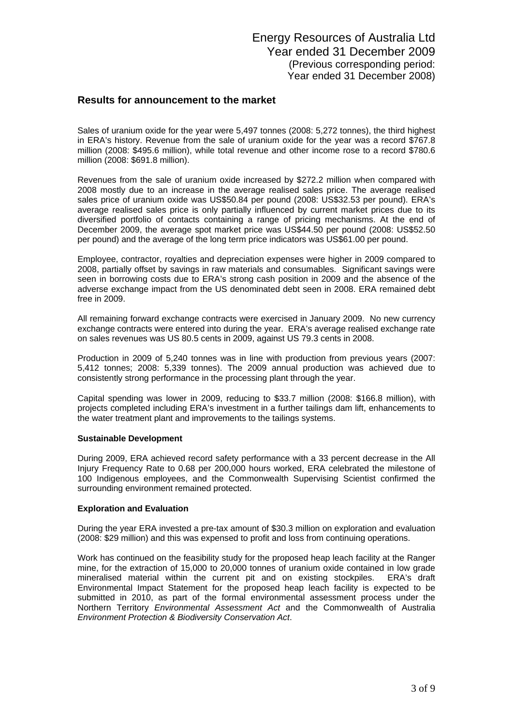### **Results for announcement to the market**

Sales of uranium oxide for the year were 5,497 tonnes (2008: 5,272 tonnes), the third highest in ERA's history. Revenue from the sale of uranium oxide for the year was a record \$767.8 million (2008: \$495.6 million), while total revenue and other income rose to a record \$780.6 million (2008: \$691.8 million).

Revenues from the sale of uranium oxide increased by \$272.2 million when compared with 2008 mostly due to an increase in the average realised sales price. The average realised sales price of uranium oxide was US\$50.84 per pound (2008: US\$32.53 per pound). ERA's average realised sales price is only partially influenced by current market prices due to its diversified portfolio of contacts containing a range of pricing mechanisms. At the end of December 2009, the average spot market price was US\$44.50 per pound (2008: US\$52.50 per pound) and the average of the long term price indicators was US\$61.00 per pound.

Employee, contractor, royalties and depreciation expenses were higher in 2009 compared to 2008, partially offset by savings in raw materials and consumables. Significant savings were seen in borrowing costs due to ERA's strong cash position in 2009 and the absence of the adverse exchange impact from the US denominated debt seen in 2008. ERA remained debt free in 2009.

All remaining forward exchange contracts were exercised in January 2009. No new currency exchange contracts were entered into during the year. ERA's average realised exchange rate on sales revenues was US 80.5 cents in 2009, against US 79.3 cents in 2008.

Production in 2009 of 5,240 tonnes was in line with production from previous years (2007: 5,412 tonnes; 2008: 5,339 tonnes). The 2009 annual production was achieved due to consistently strong performance in the processing plant through the year.

Capital spending was lower in 2009, reducing to \$33.7 million (2008: \$166.8 million), with projects completed including ERA's investment in a further tailings dam lift, enhancements to the water treatment plant and improvements to the tailings systems.

### **Sustainable Development**

During 2009, ERA achieved record safety performance with a 33 percent decrease in the All Injury Frequency Rate to 0.68 per 200,000 hours worked, ERA celebrated the milestone of 100 Indigenous employees, and the Commonwealth Supervising Scientist confirmed the surrounding environment remained protected.

### **Exploration and Evaluation**

During the year ERA invested a pre-tax amount of \$30.3 million on exploration and evaluation (2008: \$29 million) and this was expensed to profit and loss from continuing operations.

Work has continued on the feasibility study for the proposed heap leach facility at the Ranger mine, for the extraction of 15,000 to 20,000 tonnes of uranium oxide contained in low grade mineralised material within the current pit and on existing stockpiles. ERA's draft Environmental Impact Statement for the proposed heap leach facility is expected to be submitted in 2010, as part of the formal environmental assessment process under the Northern Territory *Environmental Assessment Act* and the Commonwealth of Australia *Environment Protection & Biodiversity Conservation Act*.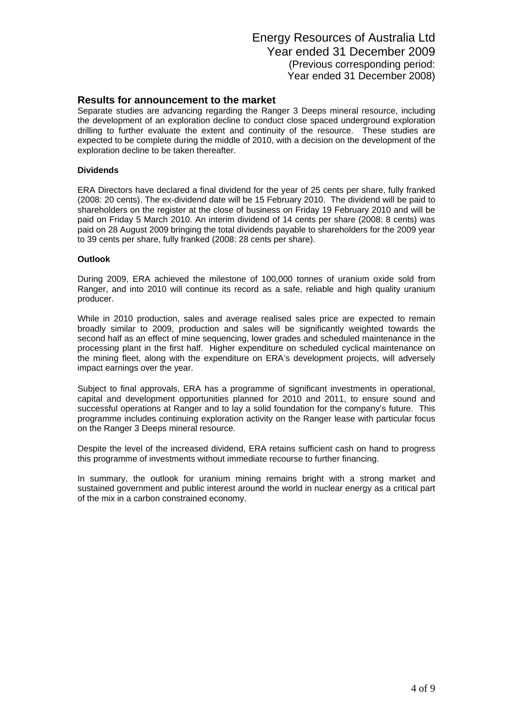### **Results for announcement to the market**

Separate studies are advancing regarding the Ranger 3 Deeps mineral resource, including the development of an exploration decline to conduct close spaced underground exploration drilling to further evaluate the extent and continuity of the resource. These studies are expected to be complete during the middle of 2010, with a decision on the development of the exploration decline to be taken thereafter.

### **Dividends**

ERA Directors have declared a final dividend for the year of 25 cents per share, fully franked (2008: 20 cents). The ex-dividend date will be 15 February 2010. The dividend will be paid to shareholders on the register at the close of business on Friday 19 February 2010 and will be paid on Friday 5 March 2010. An interim dividend of 14 cents per share (2008: 8 cents) was paid on 28 August 2009 bringing the total dividends payable to shareholders for the 2009 year to 39 cents per share, fully franked (2008: 28 cents per share).

### **Outlook**

During 2009, ERA achieved the milestone of 100,000 tonnes of uranium oxide sold from Ranger, and into 2010 will continue its record as a safe, reliable and high quality uranium producer.

While in 2010 production, sales and average realised sales price are expected to remain broadly similar to 2009, production and sales will be significantly weighted towards the second half as an effect of mine sequencing, lower grades and scheduled maintenance in the processing plant in the first half. Higher expenditure on scheduled cyclical maintenance on the mining fleet, along with the expenditure on ERA's development projects, will adversely impact earnings over the year.

Subject to final approvals, ERA has a programme of significant investments in operational, capital and development opportunities planned for 2010 and 2011, to ensure sound and successful operations at Ranger and to lay a solid foundation for the company's future. This programme includes continuing exploration activity on the Ranger lease with particular focus on the Ranger 3 Deeps mineral resource.

Despite the level of the increased dividend, ERA retains sufficient cash on hand to progress this programme of investments without immediate recourse to further financing.

In summary, the outlook for uranium mining remains bright with a strong market and sustained government and public interest around the world in nuclear energy as a critical part of the mix in a carbon constrained economy.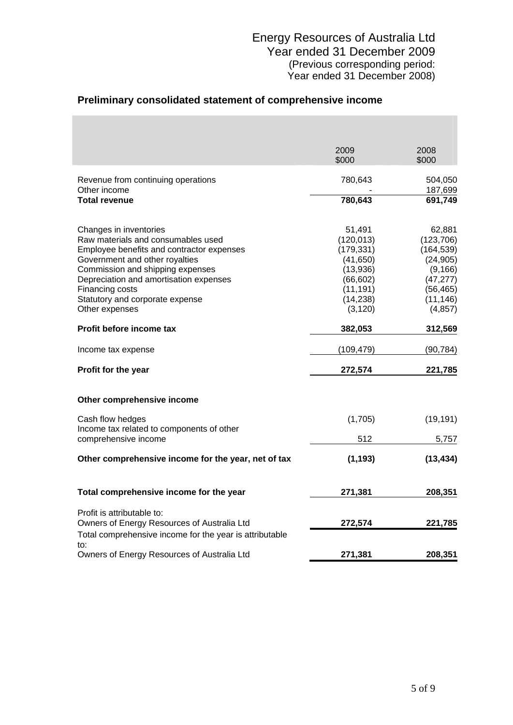# 2009 2008 \$000 \$000 Revenue from continuing operations 780,643 780,643 Other income 187,699 **Total revenue 780,643 691,749** Changes in inventories 62,881<br>
Raw materials and consumables used (120,013) (123,706) Raw materials and consumables used Employee benefits and contractor expenses (179,331) (164,539)<br>
Government and other royalties (41,650) (24,905) Government and other royalties Commission and shipping expenses (13,936) (9,166) Depreciation and amortisation expenses (66,602) (47,277) Financing costs (11,191) (56,465) Statutory and corporate expense (14,238) (11,146) Other expenses (3,120) (4,857) **Profit before income tax 382,053 312,569** Income tax expense (109,479) (90,784) **Profit for the year 221,785** 272,574 221,785 **Other comprehensive income**  Cash flow hedges (1,705) (19,191) Income tax related to components of other comprehensive income 5,757 **Other comprehensive income for the year, net of tax (1,193) (13,434)** Total comprehensive income for the year 271,381 208,351 Profit is attributable to: Owners of Energy Resources of Australia Ltd **272,574 221,785** Total comprehensive income for the year is attributable to: Owners of Energy Resources of Australia Ltd **271,381 208,351**

## **Preliminary consolidated statement of comprehensive income**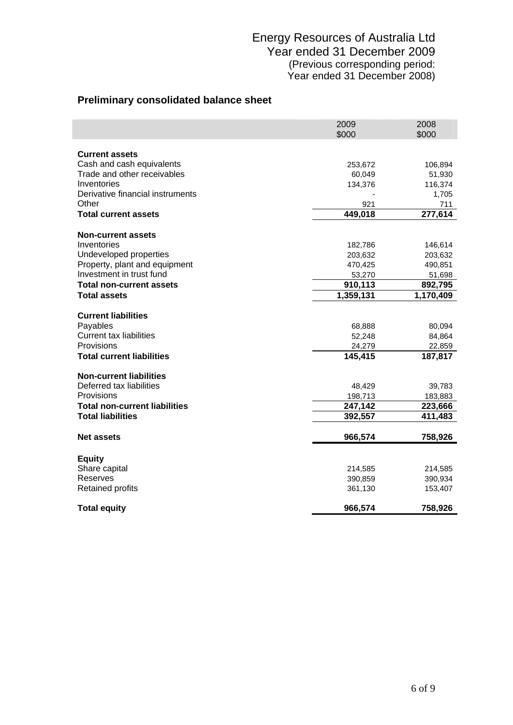# **Preliminary consolidated balance sheet**

|                                                    | 2009<br>\$000 | 2008<br>\$000 |
|----------------------------------------------------|---------------|---------------|
|                                                    |               |               |
| <b>Current assets</b><br>Cash and cash equivalents | 253,672       | 106,894       |
| Trade and other receivables                        | 60,049        | 51,930        |
| Inventories                                        | 134,376       | 116,374       |
| Derivative financial instruments                   |               | 1,705         |
| Other                                              | 921           | 711           |
| <b>Total current assets</b>                        | 449,018       | 277,614       |
| <b>Non-current assets</b>                          |               |               |
| Inventories                                        | 182,786       | 146,614       |
| Undeveloped properties                             | 203,632       | 203,632       |
| Property, plant and equipment                      | 470,425       | 490,851       |
| Investment in trust fund                           | 53,270        | 51,698        |
| <b>Total non-current assets</b>                    | 910,113       | 892,795       |
| <b>Total assets</b>                                | 1,359,131     | 1,170,409     |
| <b>Current liabilities</b>                         |               |               |
| Payables                                           | 68,888        | 80,094        |
| <b>Current tax liabilities</b>                     | 52,248        | 84,864        |
| Provisions                                         | 24,279        | 22,859        |
| <b>Total current liabilities</b>                   | 145,415       | 187,817       |
| <b>Non-current liabilities</b>                     |               |               |
| Deferred tax liabilities                           | 48,429        | 39,783        |
| Provisions                                         | 198,713       | 183,883       |
| <b>Total non-current liabilities</b>               | 247,142       | 223,666       |
| <b>Total liabilities</b>                           | 392,557       | 411,483       |
| <b>Net assets</b>                                  | 966,574       | 758,926       |
|                                                    |               |               |
| <b>Equity</b>                                      |               |               |
| Share capital                                      | 214,585       | 214,585       |
| Reserves                                           | 390,859       | 390,934       |
| <b>Retained profits</b>                            | 361,130       | 153,407       |
| <b>Total equity</b>                                | 966,574       | 758,926       |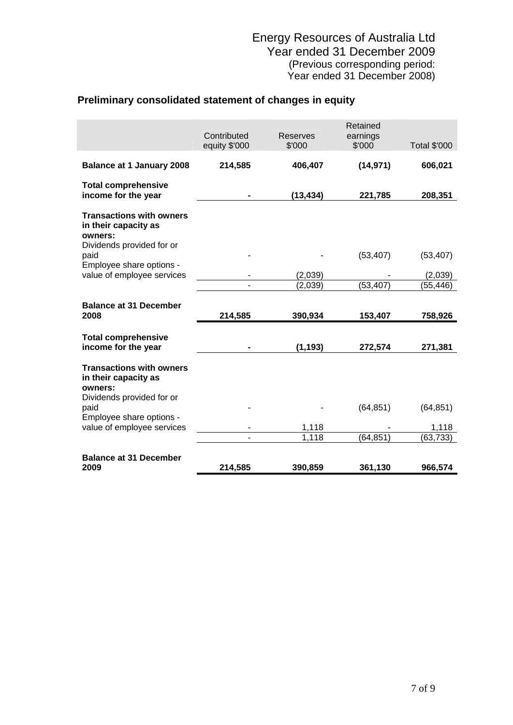# **Preliminary consolidated statement of changes in equity**

|                                                                    | Contributed<br>equity \$'000 | Reserves<br>\$'000 | Retained<br>earnings<br>\$'000 | <b>Total \$'000</b> |
|--------------------------------------------------------------------|------------------------------|--------------------|--------------------------------|---------------------|
| <b>Balance at 1 January 2008</b>                                   | 214,585                      | 406,407            | (14, 971)                      | 606,021             |
| <b>Total comprehensive</b><br>income for the year                  |                              | (13, 434)          | 221,785                        | 208,351             |
| <b>Transactions with owners</b><br>in their capacity as<br>owners: |                              |                    |                                |                     |
| Dividends provided for or<br>paid<br>Employee share options -      |                              |                    | (53, 407)                      | (53, 407)           |
| value of employee services                                         |                              | (2,039)            |                                | (2,039)             |
|                                                                    |                              | (2,039)            | (53, 407)                      | (55, 446)           |
| <b>Balance at 31 December</b>                                      |                              |                    |                                |                     |
| 2008                                                               | 214,585                      | 390,934            | 153,407                        | 758,926             |
| <b>Total comprehensive</b><br>income for the year                  |                              | (1, 193)           | 272,574                        | 271,381             |
| <b>Transactions with owners</b><br>in their capacity as<br>owners: |                              |                    |                                |                     |
| Dividends provided for or<br>paid<br>Employee share options -      |                              |                    | (64, 851)                      | (64, 851)           |
| value of employee services                                         |                              | 1,118              |                                | 1,118               |
|                                                                    |                              | 1,118              | (64, 851)                      | (63, 733)           |
| <b>Balance at 31 December</b>                                      |                              |                    |                                |                     |
| 2009                                                               | 214,585                      | 390,859            | 361,130                        | 966,574             |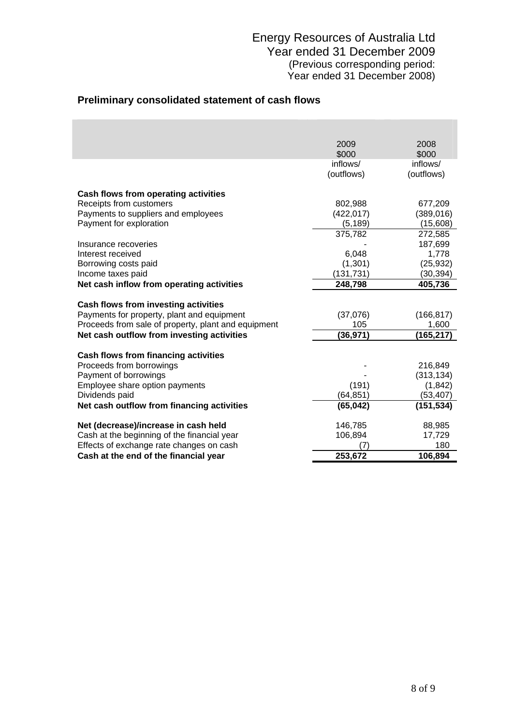# **Preliminary consolidated statement of cash flows**

|                                                                                                   | 2009       | 2008                |
|---------------------------------------------------------------------------------------------------|------------|---------------------|
|                                                                                                   | \$000      | \$000               |
|                                                                                                   | inflows/   | inflows/            |
|                                                                                                   | (outflows) | (outflows)          |
| Cash flows from operating activities                                                              |            |                     |
| Receipts from customers                                                                           | 802,988    | 677,209             |
| Payments to suppliers and employees                                                               | (422, 017) | (389, 016)          |
| Payment for exploration                                                                           | (5, 189)   | (15,608)            |
|                                                                                                   | 375,782    | 272,585             |
| Insurance recoveries                                                                              |            | 187,699             |
| Interest received                                                                                 | 6,048      | 1,778               |
| Borrowing costs paid                                                                              | (1,301)    | (25, 932)           |
| Income taxes paid                                                                                 | (131, 731) | (30, 394)           |
| Net cash inflow from operating activities                                                         | 248,798    | 405,736             |
|                                                                                                   |            |                     |
| Cash flows from investing activities                                                              | (37,076)   |                     |
| Payments for property, plant and equipment<br>Proceeds from sale of property, plant and equipment | 105        | (166, 817)<br>1,600 |
| Net cash outflow from investing activities                                                        | (36, 971)  | (165, 217)          |
|                                                                                                   |            |                     |
| <b>Cash flows from financing activities</b>                                                       |            |                     |
| Proceeds from borrowings                                                                          |            | 216,849             |
| Payment of borrowings                                                                             |            | (313, 134)          |
| Employee share option payments                                                                    | (191)      | (1, 842)            |
| Dividends paid                                                                                    | (64, 851)  | (53,407)            |
| Net cash outflow from financing activities                                                        | (65, 042)  | (151, 534)          |
| Net (decrease)/increase in cash held                                                              | 146,785    | 88,985              |
| Cash at the beginning of the financial year                                                       | 106,894    | 17,729              |
| Effects of exchange rate changes on cash                                                          | 7          | 180                 |
| Cash at the end of the financial year                                                             | 253,672    | 106,894             |